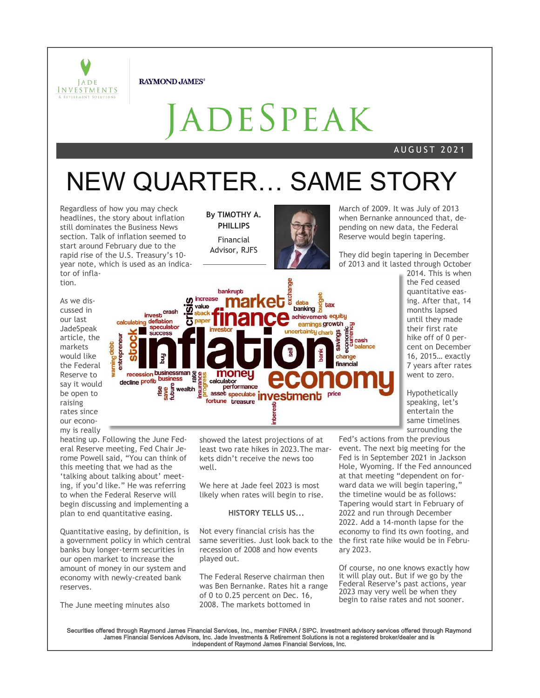

**RAYMOND JAMES®** 

# ADESPEAK

#### A U G U S T 2 0 2 1

# NEW QUARTER… SAME STORY

Regardless of how you may check headlines, the story about inflation still dominates the Business News section. Talk of inflation seemed to start around February due to the rapid rise of the U.S. Treasury's 10 year note, which is used as an indicator of inflation.

**By TIMOTHY A. PHILLIPS** Financial Advisor, RJFS



March of 2009. It was July of 2013 when Bernanke announced that, depending on new data, the Federal Reserve would begin tapering.

They did begin tapering in December of 2013 and it lasted through October

As we discussed in our last JadeSpeak article, the markets would like the Federal Reserve to say it would be open to raising rates since our economy is really



heating up. Following the June Federal Reserve meeting, Fed Chair Jerome Powell said, "You can think of this meeting that we had as the 'talking about talking about' meeting, if you'd like." He was referring to when the Federal Reserve will begin discussing and implementing a plan to end quantitative easing.

Quantitative easing, by definition, is a government policy in which central banks buy longer-term securities in our open market to increase the amount of money in our system and economy with newly-created bank reserves.

The June meeting minutes also

showed the latest projections of at least two rate hikes in 2023.The markets didn't receive the news too well.

We here at Jade feel 2023 is most likely when rates will begin to rise.

#### **HISTORY TELLS US...**

Not every financial crisis has the same severities. Just look back to the recession of 2008 and how events played out.

The Federal Reserve chairman then was Ben Bernanke. Rates hit a range of 0 to 0.25 percent on Dec. 16, 2008. The markets bottomed in

2014. This is when the Fed ceased quantitative easing. After that, 14 months lapsed until they made their first rate hike off of 0 percent on December 16, 2015… exactly 7 years after rates went to zero.

Hypothetically speaking, let's entertain the same timelines surrounding the

Fed's actions from the previous event. The next big meeting for the Fed is in September 2021 in Jackson Hole, Wyoming. If the Fed announced at that meeting "dependent on forward data we will begin tapering," the timeline would be as follows: Tapering would start in February of 2022 and run through December 2022. Add a 14-month lapse for the economy to find its own footing, and the first rate hike would be in February 2023.

Of course, no one knows exactly how it will play out. But if we go by the Federal Reserve's past actions, year 2023 may very well be when they begin to raise rates and not sooner.

Securities offered through Raymond James Financial Services, Inc., member FINRA / SIPC. Investment advisory services offered through Raymond<br>James Financial Services Advisors, Inc. Jade Investments & Retirement Solutions i independent of Raymond James Financial Services, Inc.